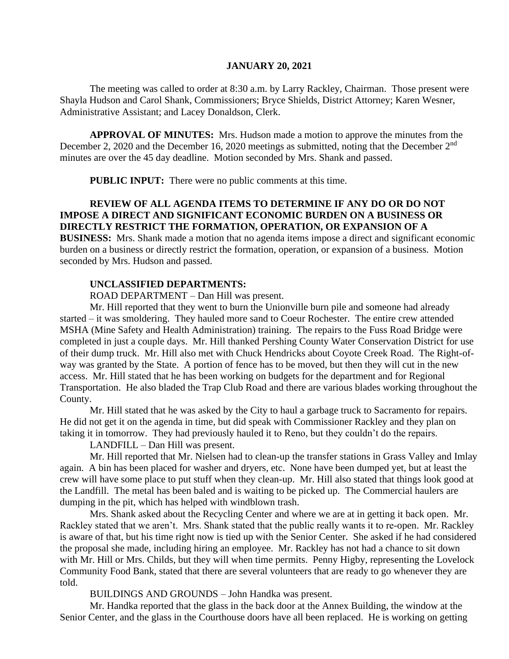### **JANUARY 20, 2021**

The meeting was called to order at 8:30 a.m. by Larry Rackley, Chairman. Those present were Shayla Hudson and Carol Shank, Commissioners; Bryce Shields, District Attorney; Karen Wesner, Administrative Assistant; and Lacey Donaldson, Clerk.

**APPROVAL OF MINUTES:** Mrs. Hudson made a motion to approve the minutes from the December 2, 2020 and the December 16, 2020 meetings as submitted, noting that the December 2<sup>nd</sup> minutes are over the 45 day deadline. Motion seconded by Mrs. Shank and passed.

**PUBLIC INPUT:** There were no public comments at this time.

# **REVIEW OF ALL AGENDA ITEMS TO DETERMINE IF ANY DO OR DO NOT IMPOSE A DIRECT AND SIGNIFICANT ECONOMIC BURDEN ON A BUSINESS OR DIRECTLY RESTRICT THE FORMATION, OPERATION, OR EXPANSION OF A**

**BUSINESS:** Mrs. Shank made a motion that no agenda items impose a direct and significant economic burden on a business or directly restrict the formation, operation, or expansion of a business. Motion seconded by Mrs. Hudson and passed.

## **UNCLASSIFIED DEPARTMENTS:**

ROAD DEPARTMENT – Dan Hill was present.

Mr. Hill reported that they went to burn the Unionville burn pile and someone had already started – it was smoldering. They hauled more sand to Coeur Rochester. The entire crew attended MSHA (Mine Safety and Health Administration) training. The repairs to the Fuss Road Bridge were completed in just a couple days. Mr. Hill thanked Pershing County Water Conservation District for use of their dump truck. Mr. Hill also met with Chuck Hendricks about Coyote Creek Road. The Right-ofway was granted by the State. A portion of fence has to be moved, but then they will cut in the new access. Mr. Hill stated that he has been working on budgets for the department and for Regional Transportation. He also bladed the Trap Club Road and there are various blades working throughout the County.

Mr. Hill stated that he was asked by the City to haul a garbage truck to Sacramento for repairs. He did not get it on the agenda in time, but did speak with Commissioner Rackley and they plan on taking it in tomorrow. They had previously hauled it to Reno, but they couldn't do the repairs.

LANDFILL – Dan Hill was present.

Mr. Hill reported that Mr. Nielsen had to clean-up the transfer stations in Grass Valley and Imlay again. A bin has been placed for washer and dryers, etc. None have been dumped yet, but at least the crew will have some place to put stuff when they clean-up. Mr. Hill also stated that things look good at the Landfill. The metal has been baled and is waiting to be picked up. The Commercial haulers are dumping in the pit, which has helped with windblown trash.

Mrs. Shank asked about the Recycling Center and where we are at in getting it back open. Mr. Rackley stated that we aren't. Mrs. Shank stated that the public really wants it to re-open. Mr. Rackley is aware of that, but his time right now is tied up with the Senior Center. She asked if he had considered the proposal she made, including hiring an employee. Mr. Rackley has not had a chance to sit down with Mr. Hill or Mrs. Childs, but they will when time permits. Penny Higby, representing the Lovelock Community Food Bank, stated that there are several volunteers that are ready to go whenever they are told.

BUILDINGS AND GROUNDS – John Handka was present.

Mr. Handka reported that the glass in the back door at the Annex Building, the window at the Senior Center, and the glass in the Courthouse doors have all been replaced. He is working on getting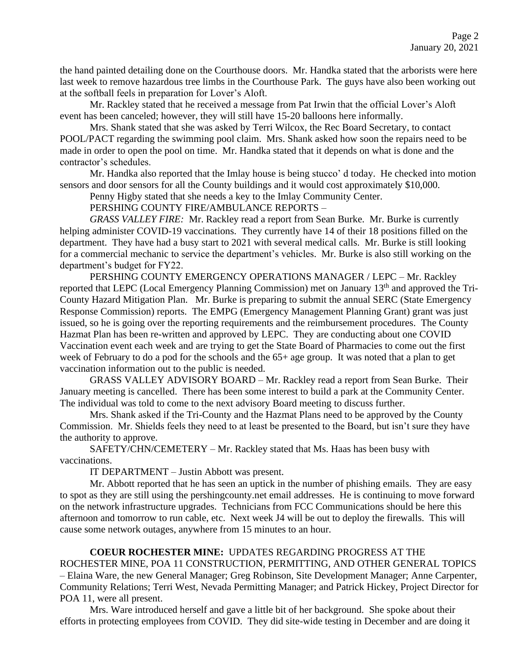the hand painted detailing done on the Courthouse doors. Mr. Handka stated that the arborists were here last week to remove hazardous tree limbs in the Courthouse Park. The guys have also been working out at the softball feels in preparation for Lover's Aloft.

Mr. Rackley stated that he received a message from Pat Irwin that the official Lover's Aloft event has been canceled; however, they will still have 15-20 balloons here informally.

Mrs. Shank stated that she was asked by Terri Wilcox, the Rec Board Secretary, to contact POOL/PACT regarding the swimming pool claim. Mrs. Shank asked how soon the repairs need to be made in order to open the pool on time. Mr. Handka stated that it depends on what is done and the contractor's schedules.

Mr. Handka also reported that the Imlay house is being stucco' d today. He checked into motion sensors and door sensors for all the County buildings and it would cost approximately \$10,000.

Penny Higby stated that she needs a key to the Imlay Community Center.

PERSHING COUNTY FIRE/AMBULANCE REPORTS –

*GRASS VALLEY FIRE:* Mr. Rackley read a report from Sean Burke. Mr. Burke is currently helping administer COVID-19 vaccinations. They currently have 14 of their 18 positions filled on the department. They have had a busy start to 2021 with several medical calls. Mr. Burke is still looking for a commercial mechanic to service the department's vehicles. Mr. Burke is also still working on the department's budget for FY22.

PERSHING COUNTY EMERGENCY OPERATIONS MANAGER / LEPC – Mr. Rackley reported that LEPC (Local Emergency Planning Commission) met on January 13th and approved the Tri-County Hazard Mitigation Plan. Mr. Burke is preparing to submit the annual SERC (State Emergency Response Commission) reports. The EMPG (Emergency Management Planning Grant) grant was just issued, so he is going over the reporting requirements and the reimbursement procedures. The County Hazmat Plan has been re-written and approved by LEPC. They are conducting about one COVID Vaccination event each week and are trying to get the State Board of Pharmacies to come out the first week of February to do a pod for the schools and the  $65+$  age group. It was noted that a plan to get vaccination information out to the public is needed.

GRASS VALLEY ADVISORY BOARD – Mr. Rackley read a report from Sean Burke. Their January meeting is cancelled. There has been some interest to build a park at the Community Center. The individual was told to come to the next advisory Board meeting to discuss further.

Mrs. Shank asked if the Tri-County and the Hazmat Plans need to be approved by the County Commission. Mr. Shields feels they need to at least be presented to the Board, but isn't sure they have the authority to approve.

SAFETY/CHN/CEMETERY – Mr. Rackley stated that Ms. Haas has been busy with vaccinations.

IT DEPARTMENT – Justin Abbott was present.

Mr. Abbott reported that he has seen an uptick in the number of phishing emails. They are easy to spot as they are still using the pershingcounty.net email addresses. He is continuing to move forward on the network infrastructure upgrades. Technicians from FCC Communications should be here this afternoon and tomorrow to run cable, etc. Next week J4 will be out to deploy the firewalls. This will cause some network outages, anywhere from 15 minutes to an hour.

### **COEUR ROCHESTER MINE:** UPDATES REGARDING PROGRESS AT THE

ROCHESTER MINE, POA 11 CONSTRUCTION, PERMITTING, AND OTHER GENERAL TOPICS – Elaina Ware, the new General Manager; Greg Robinson, Site Development Manager; Anne Carpenter, Community Relations; Terri West, Nevada Permitting Manager; and Patrick Hickey, Project Director for POA 11, were all present.

Mrs. Ware introduced herself and gave a little bit of her background. She spoke about their efforts in protecting employees from COVID. They did site-wide testing in December and are doing it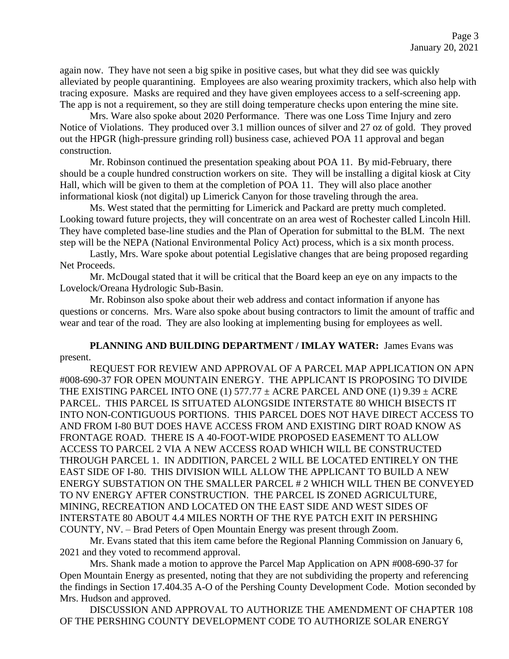again now. They have not seen a big spike in positive cases, but what they did see was quickly alleviated by people quarantining. Employees are also wearing proximity trackers, which also help with tracing exposure. Masks are required and they have given employees access to a self-screening app. The app is not a requirement, so they are still doing temperature checks upon entering the mine site.

Mrs. Ware also spoke about 2020 Performance. There was one Loss Time Injury and zero Notice of Violations. They produced over 3.1 million ounces of silver and 27 oz of gold. They proved out the HPGR (high-pressure grinding roll) business case, achieved POA 11 approval and began construction.

Mr. Robinson continued the presentation speaking about POA 11. By mid-February, there should be a couple hundred construction workers on site. They will be installing a digital kiosk at City Hall, which will be given to them at the completion of POA 11. They will also place another informational kiosk (not digital) up Limerick Canyon for those traveling through the area.

Ms. West stated that the permitting for Limerick and Packard are pretty much completed. Looking toward future projects, they will concentrate on an area west of Rochester called Lincoln Hill. They have completed base-line studies and the Plan of Operation for submittal to the BLM. The next step will be the NEPA (National Environmental Policy Act) process, which is a six month process.

Lastly, Mrs. Ware spoke about potential Legislative changes that are being proposed regarding Net Proceeds.

Mr. McDougal stated that it will be critical that the Board keep an eye on any impacts to the Lovelock/Oreana Hydrologic Sub-Basin.

Mr. Robinson also spoke about their web address and contact information if anyone has questions or concerns. Mrs. Ware also spoke about busing contractors to limit the amount of traffic and wear and tear of the road. They are also looking at implementing busing for employees as well.

## **PLANNING AND BUILDING DEPARTMENT / IMLAY WATER:** James Evans was present.

REQUEST FOR REVIEW AND APPROVAL OF A PARCEL MAP APPLICATION ON APN #008-690-37 FOR OPEN MOUNTAIN ENERGY. THE APPLICANT IS PROPOSING TO DIVIDE THE EXISTING PARCEL INTO ONE (1) 577.77  $\pm$  ACRE PARCEL AND ONE (1) 9.39  $\pm$  ACRE PARCEL. THIS PARCEL IS SITUATED ALONGSIDE INTERSTATE 80 WHICH BISECTS IT INTO NON-CONTIGUOUS PORTIONS. THIS PARCEL DOES NOT HAVE DIRECT ACCESS TO AND FROM I-80 BUT DOES HAVE ACCESS FROM AND EXISTING DIRT ROAD KNOW AS FRONTAGE ROAD. THERE IS A 40-FOOT-WIDE PROPOSED EASEMENT TO ALLOW ACCESS TO PARCEL 2 VIA A NEW ACCESS ROAD WHICH WILL BE CONSTRUCTED THROUGH PARCEL 1. IN ADDITION, PARCEL 2 WILL BE LOCATED ENTIRELY ON THE EAST SIDE OF I-80. THIS DIVISION WILL ALLOW THE APPLICANT TO BUILD A NEW ENERGY SUBSTATION ON THE SMALLER PARCEL # 2 WHICH WILL THEN BE CONVEYED TO NV ENERGY AFTER CONSTRUCTION. THE PARCEL IS ZONED AGRICULTURE, MINING, RECREATION AND LOCATED ON THE EAST SIDE AND WEST SIDES OF INTERSTATE 80 ABOUT 4.4 MILES NORTH OF THE RYE PATCH EXIT IN PERSHING

COUNTY, NV. – Brad Peters of Open Mountain Energy was present through Zoom. Mr. Evans stated that this item came before the Regional Planning Commission on January 6, 2021 and they voted to recommend approval.

Mrs. Shank made a motion to approve the Parcel Map Application on APN #008-690-37 for Open Mountain Energy as presented, noting that they are not subdividing the property and referencing the findings in Section 17.404.35 A-O of the Pershing County Development Code. Motion seconded by Mrs. Hudson and approved.

DISCUSSION AND APPROVAL TO AUTHORIZE THE AMENDMENT OF CHAPTER 108 OF THE PERSHING COUNTY DEVELOPMENT CODE TO AUTHORIZE SOLAR ENERGY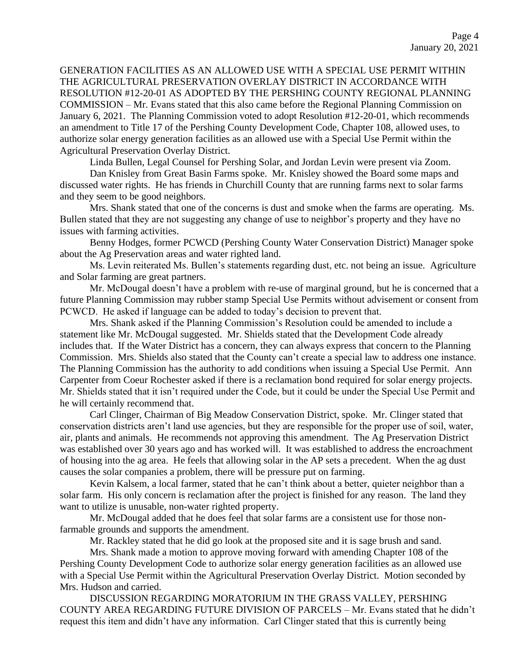GENERATION FACILITIES AS AN ALLOWED USE WITH A SPECIAL USE PERMIT WITHIN THE AGRICULTURAL PRESERVATION OVERLAY DISTRICT IN ACCORDANCE WITH RESOLUTION #12-20-01 AS ADOPTED BY THE PERSHING COUNTY REGIONAL PLANNING COMMISSION – Mr. Evans stated that this also came before the Regional Planning Commission on January 6, 2021. The Planning Commission voted to adopt Resolution #12-20-01, which recommends an amendment to Title 17 of the Pershing County Development Code, Chapter 108, allowed uses, to authorize solar energy generation facilities as an allowed use with a Special Use Permit within the Agricultural Preservation Overlay District.

Linda Bullen, Legal Counsel for Pershing Solar, and Jordan Levin were present via Zoom.

Dan Knisley from Great Basin Farms spoke. Mr. Knisley showed the Board some maps and discussed water rights. He has friends in Churchill County that are running farms next to solar farms and they seem to be good neighbors.

Mrs. Shank stated that one of the concerns is dust and smoke when the farms are operating. Ms. Bullen stated that they are not suggesting any change of use to neighbor's property and they have no issues with farming activities.

Benny Hodges, former PCWCD (Pershing County Water Conservation District) Manager spoke about the Ag Preservation areas and water righted land.

Ms. Levin reiterated Ms. Bullen's statements regarding dust, etc. not being an issue. Agriculture and Solar farming are great partners.

Mr. McDougal doesn't have a problem with re-use of marginal ground, but he is concerned that a future Planning Commission may rubber stamp Special Use Permits without advisement or consent from PCWCD. He asked if language can be added to today's decision to prevent that.

Mrs. Shank asked if the Planning Commission's Resolution could be amended to include a statement like Mr. McDougal suggested. Mr. Shields stated that the Development Code already includes that. If the Water District has a concern, they can always express that concern to the Planning Commission. Mrs. Shields also stated that the County can't create a special law to address one instance. The Planning Commission has the authority to add conditions when issuing a Special Use Permit. Ann Carpenter from Coeur Rochester asked if there is a reclamation bond required for solar energy projects. Mr. Shields stated that it isn't required under the Code, but it could be under the Special Use Permit and he will certainly recommend that.

Carl Clinger, Chairman of Big Meadow Conservation District, spoke. Mr. Clinger stated that conservation districts aren't land use agencies, but they are responsible for the proper use of soil, water, air, plants and animals. He recommends not approving this amendment. The Ag Preservation District was established over 30 years ago and has worked will. It was established to address the encroachment of housing into the ag area. He feels that allowing solar in the AP sets a precedent. When the ag dust causes the solar companies a problem, there will be pressure put on farming.

Kevin Kalsem, a local farmer, stated that he can't think about a better, quieter neighbor than a solar farm. His only concern is reclamation after the project is finished for any reason. The land they want to utilize is unusable, non-water righted property.

Mr. McDougal added that he does feel that solar farms are a consistent use for those nonfarmable grounds and supports the amendment.

Mr. Rackley stated that he did go look at the proposed site and it is sage brush and sand.

Mrs. Shank made a motion to approve moving forward with amending Chapter 108 of the Pershing County Development Code to authorize solar energy generation facilities as an allowed use with a Special Use Permit within the Agricultural Preservation Overlay District. Motion seconded by Mrs. Hudson and carried.

DISCUSSION REGARDING MORATORIUM IN THE GRASS VALLEY, PERSHING COUNTY AREA REGARDING FUTURE DIVISION OF PARCELS – Mr. Evans stated that he didn't request this item and didn't have any information. Carl Clinger stated that this is currently being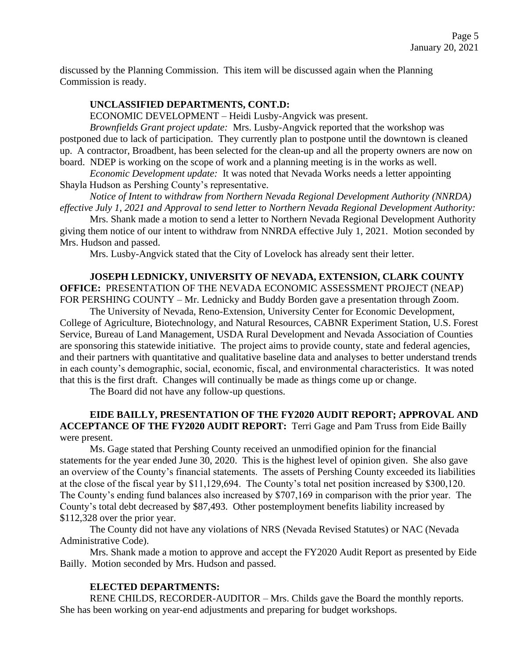discussed by the Planning Commission. This item will be discussed again when the Planning Commission is ready.

## **UNCLASSIFIED DEPARTMENTS, CONT.D:**

ECONOMIC DEVELOPMENT – Heidi Lusby-Angvick was present.

*Brownfields Grant project update:* Mrs. Lusby-Angvick reported that the workshop was postponed due to lack of participation. They currently plan to postpone until the downtown is cleaned up. A contractor, Broadbent, has been selected for the clean-up and all the property owners are now on board. NDEP is working on the scope of work and a planning meeting is in the works as well.

*Economic Development update:* It was noted that Nevada Works needs a letter appointing Shayla Hudson as Pershing County's representative.

*Notice of Intent to withdraw from Northern Nevada Regional Development Authority (NNRDA) effective July 1, 2021 and Approval to send letter to Northern Nevada Regional Development Authority:* 

Mrs. Shank made a motion to send a letter to Northern Nevada Regional Development Authority giving them notice of our intent to withdraw from NNRDA effective July 1, 2021. Motion seconded by Mrs. Hudson and passed.

Mrs. Lusby-Angvick stated that the City of Lovelock has already sent their letter.

**JOSEPH LEDNICKY, UNIVERSITY OF NEVADA, EXTENSION, CLARK COUNTY OFFICE:** PRESENTATION OF THE NEVADA ECONOMIC ASSESSMENT PROJECT (NEAP) FOR PERSHING COUNTY – Mr. Lednicky and Buddy Borden gave a presentation through Zoom.

The University of Nevada, Reno-Extension, University Center for Economic Development, College of Agriculture, Biotechnology, and Natural Resources, CABNR Experiment Station, U.S. Forest Service, Bureau of Land Management, USDA Rural Development and Nevada Association of Counties are sponsoring this statewide initiative. The project aims to provide county, state and federal agencies, and their partners with quantitative and qualitative baseline data and analyses to better understand trends in each county's demographic, social, economic, fiscal, and environmental characteristics. It was noted that this is the first draft. Changes will continually be made as things come up or change.

The Board did not have any follow-up questions.

## **EIDE BAILLY, PRESENTATION OF THE FY2020 AUDIT REPORT; APPROVAL AND ACCEPTANCE OF THE FY2020 AUDIT REPORT:** Terri Gage and Pam Truss from Eide Bailly were present.

Ms. Gage stated that Pershing County received an unmodified opinion for the financial statements for the year ended June 30, 2020. This is the highest level of opinion given. She also gave an overview of the County's financial statements. The assets of Pershing County exceeded its liabilities at the close of the fiscal year by \$11,129,694. The County's total net position increased by \$300,120. The County's ending fund balances also increased by \$707,169 in comparison with the prior year. The County's total debt decreased by \$87,493. Other postemployment benefits liability increased by \$112,328 over the prior year.

The County did not have any violations of NRS (Nevada Revised Statutes) or NAC (Nevada Administrative Code).

Mrs. Shank made a motion to approve and accept the FY2020 Audit Report as presented by Eide Bailly. Motion seconded by Mrs. Hudson and passed.

#### **ELECTED DEPARTMENTS:**

RENE CHILDS, RECORDER-AUDITOR – Mrs. Childs gave the Board the monthly reports. She has been working on year-end adjustments and preparing for budget workshops.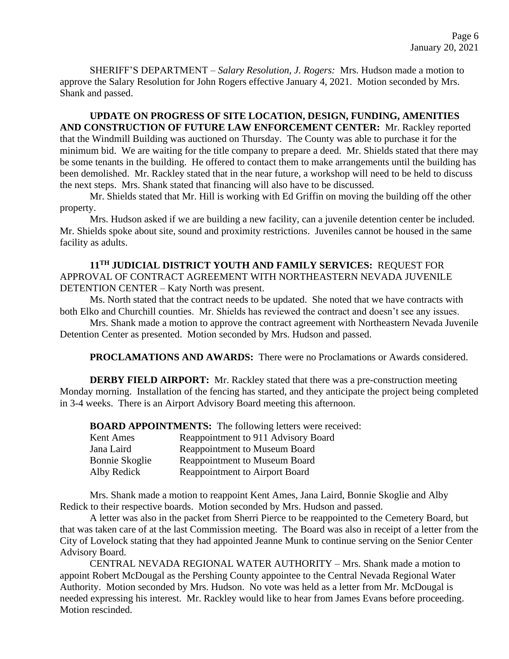SHERIFF'S DEPARTMENT – *Salary Resolution, J. Rogers:* Mrs. Hudson made a motion to approve the Salary Resolution for John Rogers effective January 4, 2021. Motion seconded by Mrs. Shank and passed.

**UPDATE ON PROGRESS OF SITE LOCATION, DESIGN, FUNDING, AMENITIES AND CONSTRUCTION OF FUTURE LAW ENFORCEMENT CENTER:** Mr. Rackley reported that the Windmill Building was auctioned on Thursday. The County was able to purchase it for the minimum bid. We are waiting for the title company to prepare a deed. Mr. Shields stated that there may be some tenants in the building. He offered to contact them to make arrangements until the building has been demolished. Mr. Rackley stated that in the near future, a workshop will need to be held to discuss the next steps. Mrs. Shank stated that financing will also have to be discussed.

Mr. Shields stated that Mr. Hill is working with Ed Griffin on moving the building off the other property.

Mrs. Hudson asked if we are building a new facility, can a juvenile detention center be included. Mr. Shields spoke about site, sound and proximity restrictions. Juveniles cannot be housed in the same facility as adults.

**11TH JUDICIAL DISTRICT YOUTH AND FAMILY SERVICES:** REQUEST FOR APPROVAL OF CONTRACT AGREEMENT WITH NORTHEASTERN NEVADA JUVENILE DETENTION CENTER – Katy North was present.

Ms. North stated that the contract needs to be updated. She noted that we have contracts with both Elko and Churchill counties. Mr. Shields has reviewed the contract and doesn't see any issues.

Mrs. Shank made a motion to approve the contract agreement with Northeastern Nevada Juvenile Detention Center as presented. Motion seconded by Mrs. Hudson and passed.

**PROCLAMATIONS AND AWARDS:** There were no Proclamations or Awards considered.

**DERBY FIELD AIRPORT:** Mr. Rackley stated that there was a pre-construction meeting Monday morning. Installation of the fencing has started, and they anticipate the project being completed in 3-4 weeks. There is an Airport Advisory Board meeting this afternoon.

**BOARD APPOINTMENTS:** The following letters were received:

| Kent Ames             | Reappointment to 911 Advisory Board   |
|-----------------------|---------------------------------------|
| Jana Laird            | <b>Reappointment to Museum Board</b>  |
| <b>Bonnie Skoglie</b> | <b>Reappointment to Museum Board</b>  |
| Alby Redick           | <b>Reappointment to Airport Board</b> |

Mrs. Shank made a motion to reappoint Kent Ames, Jana Laird, Bonnie Skoglie and Alby Redick to their respective boards. Motion seconded by Mrs. Hudson and passed.

A letter was also in the packet from Sherri Pierce to be reappointed to the Cemetery Board, but that was taken care of at the last Commission meeting. The Board was also in receipt of a letter from the City of Lovelock stating that they had appointed Jeanne Munk to continue serving on the Senior Center Advisory Board.

CENTRAL NEVADA REGIONAL WATER AUTHORITY – Mrs. Shank made a motion to appoint Robert McDougal as the Pershing County appointee to the Central Nevada Regional Water Authority. Motion seconded by Mrs. Hudson. No vote was held as a letter from Mr. McDougal is needed expressing his interest. Mr. Rackley would like to hear from James Evans before proceeding. Motion rescinded.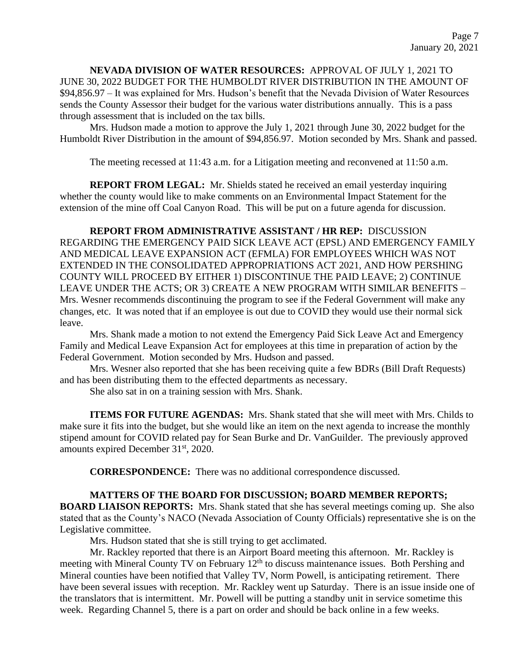# **NEVADA DIVISION OF WATER RESOURCES:** APPROVAL OF JULY 1, 2021 TO JUNE 30, 2022 BUDGET FOR THE HUMBOLDT RIVER DISTRIBUTION IN THE AMOUNT OF \$94,856.97 – It was explained for Mrs. Hudson's benefit that the Nevada Division of Water Resources sends the County Assessor their budget for the various water distributions annually. This is a pass through assessment that is included on the tax bills.

Mrs. Hudson made a motion to approve the July 1, 2021 through June 30, 2022 budget for the Humboldt River Distribution in the amount of \$94,856.97. Motion seconded by Mrs. Shank and passed.

The meeting recessed at 11:43 a.m. for a Litigation meeting and reconvened at 11:50 a.m.

**REPORT FROM LEGAL:** Mr. Shields stated he received an email yesterday inquiring whether the county would like to make comments on an Environmental Impact Statement for the extension of the mine off Coal Canyon Road. This will be put on a future agenda for discussion.

**REPORT FROM ADMINISTRATIVE ASSISTANT / HR REP:** DISCUSSION REGARDING THE EMERGENCY PAID SICK LEAVE ACT (EPSL) AND EMERGENCY FAMILY AND MEDICAL LEAVE EXPANSION ACT (EFMLA) FOR EMPLOYEES WHICH WAS NOT EXTENDED IN THE CONSOLIDATED APPROPRIATIONS ACT 2021, AND HOW PERSHING COUNTY WILL PROCEED BY EITHER 1) DISCONTINUE THE PAID LEAVE; 2) CONTINUE LEAVE UNDER THE ACTS; OR 3) CREATE A NEW PROGRAM WITH SIMILAR BENEFITS – Mrs. Wesner recommends discontinuing the program to see if the Federal Government will make any changes, etc. It was noted that if an employee is out due to COVID they would use their normal sick leave.

Mrs. Shank made a motion to not extend the Emergency Paid Sick Leave Act and Emergency Family and Medical Leave Expansion Act for employees at this time in preparation of action by the Federal Government. Motion seconded by Mrs. Hudson and passed.

Mrs. Wesner also reported that she has been receiving quite a few BDRs (Bill Draft Requests) and has been distributing them to the effected departments as necessary.

She also sat in on a training session with Mrs. Shank.

**ITEMS FOR FUTURE AGENDAS:** Mrs. Shank stated that she will meet with Mrs. Childs to make sure it fits into the budget, but she would like an item on the next agenda to increase the monthly stipend amount for COVID related pay for Sean Burke and Dr. VanGuilder. The previously approved amounts expired December 31st, 2020.

**CORRESPONDENCE:** There was no additional correspondence discussed.

# **MATTERS OF THE BOARD FOR DISCUSSION; BOARD MEMBER REPORTS;**

**BOARD LIAISON REPORTS:** Mrs. Shank stated that she has several meetings coming up. She also stated that as the County's NACO (Nevada Association of County Officials) representative she is on the Legislative committee.

Mrs. Hudson stated that she is still trying to get acclimated.

Mr. Rackley reported that there is an Airport Board meeting this afternoon. Mr. Rackley is meeting with Mineral County TV on February  $12<sup>th</sup>$  to discuss maintenance issues. Both Pershing and Mineral counties have been notified that Valley TV, Norm Powell, is anticipating retirement. There have been several issues with reception. Mr. Rackley went up Saturday. There is an issue inside one of the translators that is intermittent. Mr. Powell will be putting a standby unit in service sometime this week. Regarding Channel 5, there is a part on order and should be back online in a few weeks.